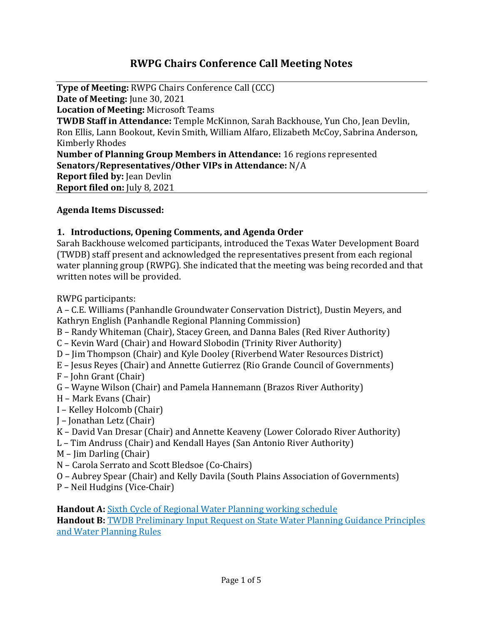# **RWPG Chairs Conference Call Meeting Notes**

**Type of Meeting:** RWPG Chairs Conference Call (CCC) **Date of Meeting:** June 30, 2021 **Location of Meeting:** Microsoft Teams **TWDB Staff in Attendance:** Temple McKinnon, Sarah Backhouse, Yun Cho, Jean Devlin, Ron Ellis, Lann Bookout, Kevin Smith, William Alfaro, Elizabeth McCoy, Sabrina Anderson, Kimberly Rhodes **Number of Planning Group Members in Attendance:** 16 regions represented **Senators/Representatives/Other VIPs in Attendance:** N/A **Report filed by: Jean Devlin Report filed on:** July 8, 2021

#### **Agenda Items Discussed:**

#### **1. Introductions, Opening Comments, and Agenda Order**

Sarah Backhouse welcomed participants, introduced the Texas Water Development Board (TWDB) staff present and acknowledged the representatives present from each regional water planning group (RWPG). She indicated that the meeting was being recorded and that written notes will be provided.

RWPG participants:

A – C.E. Williams (Panhandle Groundwater Conservation District), Dustin Meyers, and Kathryn English (Panhandle Regional Planning Commission)

- B Randy Whiteman (Chair), Stacey Green, and Danna Bales (Red River Authority)
- C Kevin Ward (Chair) and Howard Slobodin (Trinity River Authority)
- D Jim Thompson (Chair) and Kyle Dooley (Riverbend Water Resources District)
- E Jesus Reyes (Chair) and Annette Gutierrez (Rio Grande Council of Governments)
- F John Grant (Chair)
- G Wayne Wilson (Chair) and Pamela Hannemann (Brazos River Authority)
- H Mark Evans (Chair)
- I Kelley Holcomb (Chair)
- J Jonathan Letz (Chair)
- K David Van Dresar (Chair) and Annette Keaveny (Lower Colorado River Authority)
- L Tim Andruss (Chair) and Kendall Hayes (San Antonio River Authority)
- M Jim Darling (Chair)
- N Carola Serrato and Scott Bledsoe (Co-Chairs)
- O Aubrey Spear (Chair) and Kelly Davila (South Plains Association of Governments)
- P Neil Hudgins (Vice-Chair)

**Handout A:** [Sixth Cycle of Regional Water Planning working schedule](http://www.twdb.texas.gov/waterplanning/rwp/planningdocu/2026/projectdocs/Working_Schedule_2026RWPs.pdf) **Handout B:** [TWDB Preliminary Input Request on State Water Planning Guidance Principles](http://www.twdb.texas.gov/waterplanning/rwp/planningdocu/2026/TWDBComms/RWPGStakeholder_SWPGuidancePrinciplesLetter.pdf)  [and Water Planning Rules](http://www.twdb.texas.gov/waterplanning/rwp/planningdocu/2026/TWDBComms/RWPGStakeholder_SWPGuidancePrinciplesLetter.pdf)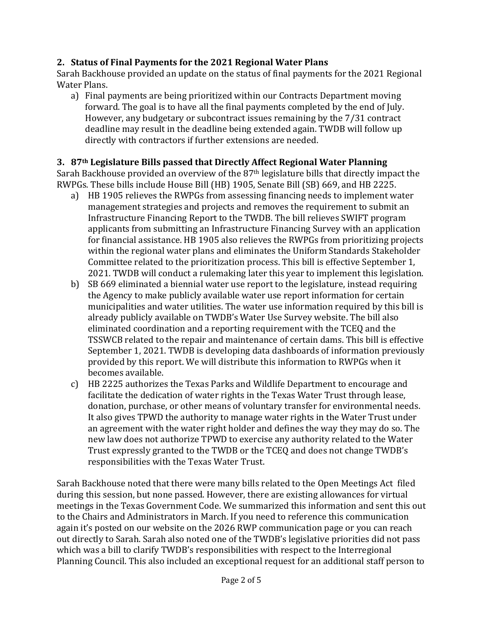#### **2. Status of Final Payments for the 2021 Regional Water Plans**

Sarah Backhouse provided an update on the status of final payments for the 2021 Regional Water Plans.

a) Final payments are being prioritized within our Contracts Department moving forward. The goal is to have all the final payments completed by the end of July. However, any budgetary or subcontract issues remaining by the 7/31 contract deadline may result in the deadline being extended again. TWDB will follow up directly with contractors if further extensions are needed.

## **3. 87th Legislature Bills passed that Directly Affect Regional Water Planning**

Sarah Backhouse provided an overview of the 87<sup>th</sup> legislature bills that directly impact the RWPGs. These bills include House Bill (HB) 1905, Senate Bill (SB) 669, and HB 2225.

- a) HB 1905 relieves the RWPGs from assessing financing needs to implement water management strategies and projects and removes the requirement to submit an Infrastructure Financing Report to the TWDB. The bill relieves SWIFT program applicants from submitting an Infrastructure Financing Survey with an application for financial assistance. HB 1905 also relieves the RWPGs from prioritizing projects within the regional water plans and eliminates the Uniform Standards Stakeholder Committee related to the prioritization process. This bill is effective September 1, 2021. TWDB will conduct a rulemaking later this year to implement this legislation.
- b) SB 669 eliminated a biennial water use report to the legislature, instead requiring the Agency to make publicly available water use report information for certain municipalities and water utilities. The water use information required by this bill is already publicly available on TWDB's Water Use Survey website. The bill also eliminated coordination and a reporting requirement with the TCEQ and the TSSWCB related to the repair and maintenance of certain dams. This bill is effective September 1, 2021. TWDB is developing data dashboards of information previously provided by this report. We will distribute this information to RWPGs when it becomes available.
- c) HB 2225 authorizes the Texas Parks and Wildlife Department to encourage and facilitate the dedication of water rights in the Texas Water Trust through lease, donation, purchase, or other means of voluntary transfer for environmental needs. It also gives TPWD the authority to manage water rights in the Water Trust under an agreement with the water right holder and defines the way they may do so. The new law does not authorize TPWD to exercise any authority related to the Water Trust expressly granted to the TWDB or the TCEQ and does not change TWDB's responsibilities with the Texas Water Trust.

Sarah Backhouse noted that there were many bills related to the Open Meetings Act filed during this session, but none passed. However, there are existing allowances for virtual meetings in the Texas Government Code. We summarized this information and sent this out to the Chairs and Administrators in March. If you need to reference this communication again it's posted on our website on the 2026 RWP communication page or you can reach out directly to Sarah. Sarah also noted one of the TWDB's legislative priorities did not pass which was a bill to clarify TWDB's responsibilities with respect to the Interregional Planning Council. This also included an exceptional request for an additional staff person to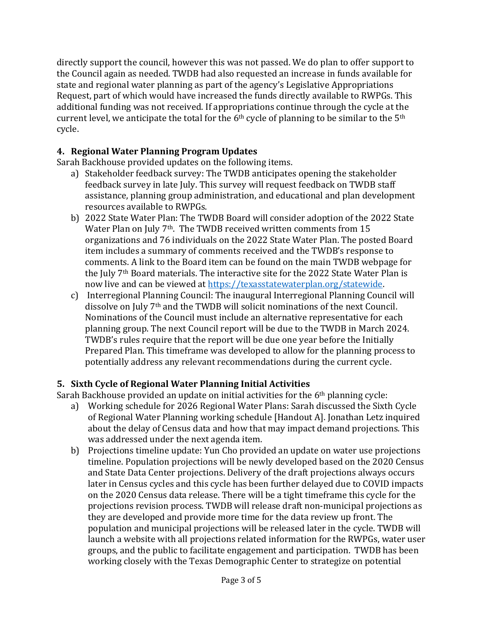directly support the council, however this was not passed. We do plan to offer support to the Council again as needed. TWDB had also requested an increase in funds available for state and regional water planning as part of the agency's Legislative Appropriations Request, part of which would have increased the funds directly available to RWPGs. This additional funding was not received. If appropriations continue through the cycle at the current level, we anticipate the total for the  $6<sup>th</sup>$  cycle of planning to be similar to the  $5<sup>th</sup>$ cycle.

# **4. Regional Water Planning Program Updates**

Sarah Backhouse provided updates on the following items.

- a) Stakeholder feedback survey: The TWDB anticipates opening the stakeholder feedback survey in late July. This survey will request feedback on TWDB staff assistance, planning group administration, and educational and plan development resources available to RWPGs.
- b) 2022 State Water Plan: The TWDB Board will consider adoption of the 2022 State Water Plan on July 7<sup>th</sup>. The TWDB received written comments from 15 organizations and 76 individuals on the 2022 State Water Plan. The posted Board item includes a summary of comments received and the TWDB's response to comments. A link to the Board item can be found on the main TWDB webpage for the July 7th Board materials. The interactive site for the 2022 State Water Plan is now live and can be viewed at [https://texasstatewaterplan.org/statewide.](https://texasstatewaterplan.org/statewide)
- c) Interregional Planning Council: The inaugural Interregional Planning Council will dissolve on July 7th and the TWDB will solicit nominations of the next Council. Nominations of the Council must include an alternative representative for each planning group. The next Council report will be due to the TWDB in March 2024. TWDB's rules require that the report will be due one year before the Initially Prepared Plan. This timeframe was developed to allow for the planning process to potentially address any relevant recommendations during the current cycle.

# **5. Sixth Cycle of Regional Water Planning Initial Activities**

Sarah Backhouse provided an update on initial activities for the 6th planning cycle:

- a) Working schedule for 2026 Regional Water Plans: Sarah discussed the Sixth Cycle of Regional Water Planning working schedule [Handout A]. Jonathan Letz inquired about the delay of Census data and how that may impact demand projections. This was addressed under the next agenda item.
- b) Projections timeline update: Yun Cho provided an update on water use projections timeline. Population projections will be newly developed based on the 2020 Census and State Data Center projections. Delivery of the draft projections always occurs later in Census cycles and this cycle has been further delayed due to COVID impacts on the 2020 Census data release. There will be a tight timeframe this cycle for the projections revision process. TWDB will release draft non-municipal projections as they are developed and provide more time for the data review up front. The population and municipal projections will be released later in the cycle. TWDB will launch a website with all projections related information for the RWPGs, water user groups, and the public to facilitate engagement and participation. TWDB has been working closely with the Texas Demographic Center to strategize on potential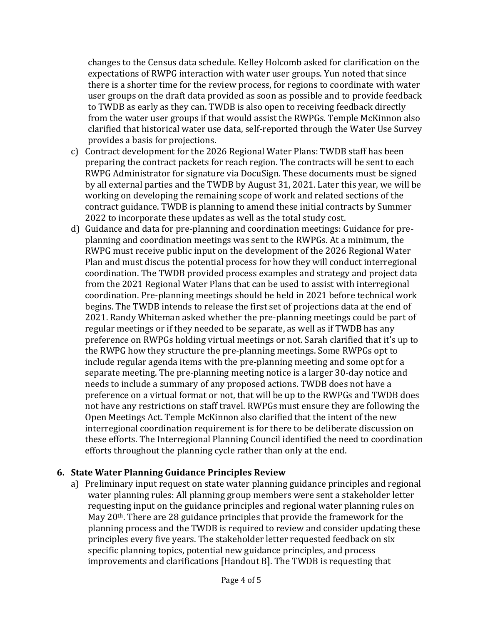changes to the Census data schedule. Kelley Holcomb asked for clarification on the expectations of RWPG interaction with water user groups. Yun noted that since there is a shorter time for the review process, for regions to coordinate with water user groups on the draft data provided as soon as possible and to provide feedback to TWDB as early as they can. TWDB is also open to receiving feedback directly from the water user groups if that would assist the RWPGs. Temple McKinnon also clarified that historical water use data, self-reported through the Water Use Survey provides a basis for projections.

- c) Contract development for the 2026 Regional Water Plans: TWDB staff has been preparing the contract packets for reach region. The contracts will be sent to each RWPG Administrator for signature via DocuSign. These documents must be signed by all external parties and the TWDB by August 31, 2021. Later this year, we will be working on developing the remaining scope of work and related sections of the contract guidance. TWDB is planning to amend these initial contracts by Summer 2022 to incorporate these updates as well as the total study cost.
- d) Guidance and data for pre-planning and coordination meetings: Guidance for preplanning and coordination meetings was sent to the RWPGs. At a minimum, the RWPG must receive public input on the development of the 2026 Regional Water Plan and must discus the potential process for how they will conduct interregional coordination. The TWDB provided process examples and strategy and project data from the 2021 Regional Water Plans that can be used to assist with interregional coordination. Pre-planning meetings should be held in 2021 before technical work begins. The TWDB intends to release the first set of projections data at the end of 2021. Randy Whiteman asked whether the pre-planning meetings could be part of regular meetings or if they needed to be separate, as well as if TWDB has any preference on RWPGs holding virtual meetings or not. Sarah clarified that it's up to the RWPG how they structure the pre-planning meetings. Some RWPGs opt to include regular agenda items with the pre-planning meeting and some opt for a separate meeting. The pre-planning meeting notice is a larger 30-day notice and needs to include a summary of any proposed actions. TWDB does not have a preference on a virtual format or not, that will be up to the RWPGs and TWDB does not have any restrictions on staff travel. RWPGs must ensure they are following the Open Meetings Act. Temple McKinnon also clarified that the intent of the new interregional coordination requirement is for there to be deliberate discussion on these efforts. The Interregional Planning Council identified the need to coordination efforts throughout the planning cycle rather than only at the end.

#### **6. State Water Planning Guidance Principles Review**

a) Preliminary input request on state water planning guidance principles and regional water planning rules: All planning group members were sent a stakeholder letter requesting input on the guidance principles and regional water planning rules on May 20<sup>th</sup>. There are 28 guidance principles that provide the framework for the planning process and the TWDB is required to review and consider updating these principles every five years. The stakeholder letter requested feedback on six specific planning topics, potential new guidance principles, and process improvements and clarifications [Handout B]. The TWDB is requesting that